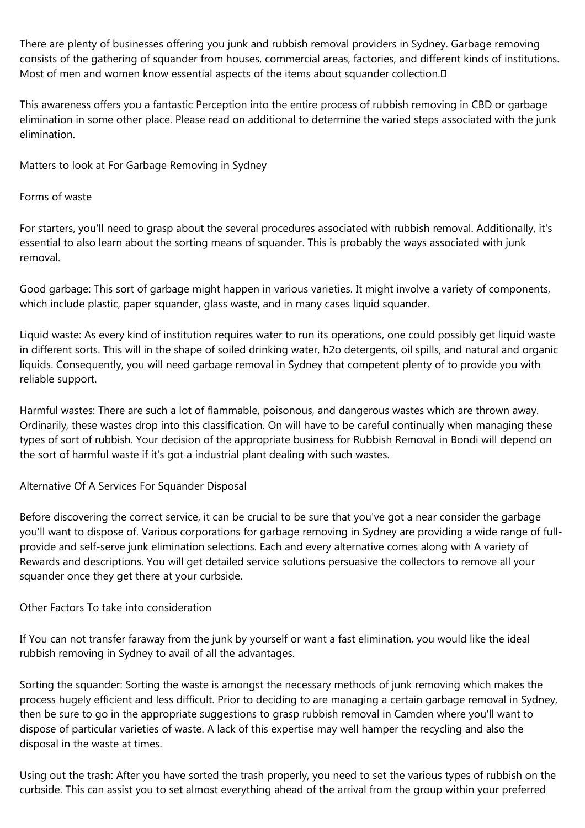There are plenty of businesses offering you junk and rubbish removal providers in Sydney. Garbage removing consists of the gathering of squander from houses, commercial areas, factories, and different kinds of institutions. Most of men and women know essential aspects of the items about squander collection.<sup>[]</sup>

This awareness offers you a fantastic Perception into the entire process of rubbish removing in CBD or garbage elimination in some other place. Please read on additional to determine the varied steps associated with the junk elimination.

Matters to look at For Garbage Removing in Sydney

Forms of waste

For starters, you'll need to grasp about the several procedures associated with rubbish removal. Additionally, it's essential to also learn about the sorting means of squander. This is probably the ways associated with junk removal.

Good garbage: This sort of garbage might happen in various varieties. It might involve a variety of components, which include plastic, paper squander, glass waste, and in many cases liquid squander.

Liquid waste: As every kind of institution requires water to run its operations, one could possibly get liquid waste in different sorts. This will in the shape of soiled drinking water, h2o detergents, oil spills, and natural and organic liquids. Consequently, you will need garbage removal in Sydney that competent plenty of to provide you with reliable support.

Harmful wastes: There are such a lot of flammable, poisonous, and dangerous wastes which are thrown away. Ordinarily, these wastes drop into this classification. On will have to be careful continually when managing these types of sort of rubbish. Your decision of the appropriate business for Rubbish Removal in Bondi will depend on the sort of harmful waste if it's got a industrial plant dealing with such wastes.

## Alternative Of A Services For Squander Disposal

Before discovering the correct service, it can be crucial to be sure that you've got a near consider the garbage you'll want to dispose of. Various corporations for garbage removing in Sydney are providing a wide range of fullprovide and self-serve junk elimination selections. Each and every alternative comes along with A variety of Rewards and descriptions. You will get detailed service solutions persuasive the collectors to remove all your squander once they get there at your curbside.

## Other Factors To take into consideration

If You can not transfer faraway from the junk by yourself or want a fast elimination, you would like the ideal rubbish removing in Sydney to avail of all the advantages.

Sorting the squander: Sorting the waste is amongst the necessary methods of junk removing which makes the process hugely efficient and less difficult. Prior to deciding to are managing a certain garbage removal in Sydney, then be sure to go in the appropriate suggestions to grasp rubbish removal in Camden where you'll want to dispose of particular varieties of waste. A lack of this expertise may well hamper the recycling and also the disposal in the waste at times.

Using out the trash: After you have sorted the trash properly, you need to set the various types of rubbish on the curbside. This can assist you to set almost everything ahead of the arrival from the group within your preferred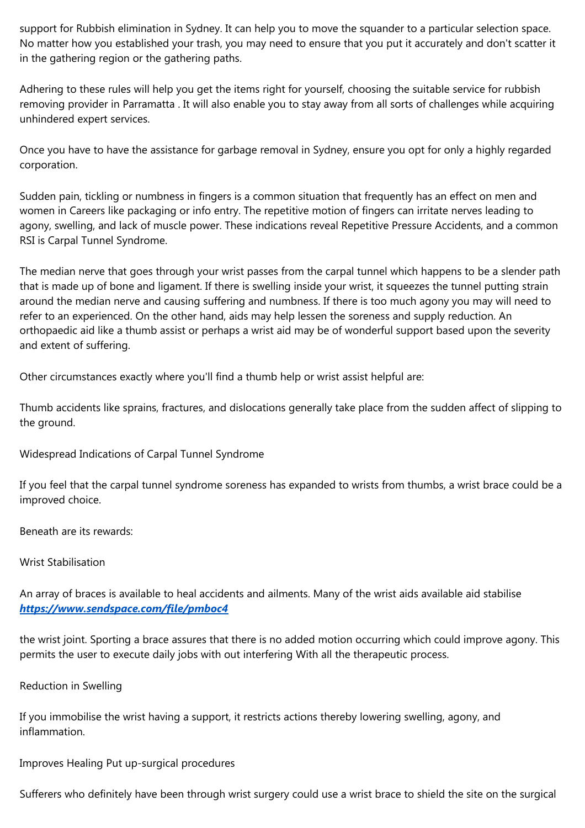support for Rubbish elimination in Sydney. It can help you to move the squander to a particular selection space. No matter how you established your trash, you may need to ensure that you put it accurately and don't scatter it in the gathering region or the gathering paths.

Adhering to these rules will help you get the items right for yourself, choosing the suitable service for rubbish removing provider in Parramatta . It will also enable you to stay away from all sorts of challenges while acquiring unhindered expert services.

Once you have to have the assistance for garbage removal in Sydney, ensure you opt for only a highly regarded corporation.

Sudden pain, tickling or numbness in fingers is a common situation that frequently has an effect on men and women in Careers like packaging or info entry. The repetitive motion of fingers can irritate nerves leading to agony, swelling, and lack of muscle power. These indications reveal Repetitive Pressure Accidents, and a common RSI is Carpal Tunnel Syndrome.

The median nerve that goes through your wrist passes from the carpal tunnel which happens to be a slender path that is made up of bone and ligament. If there is swelling inside your wrist, it squeezes the tunnel putting strain around the median nerve and causing suffering and numbness. If there is too much agony you may will need to refer to an experienced. On the other hand, aids may help lessen the soreness and supply reduction. An orthopaedic aid like a thumb assist or perhaps a wrist aid may be of wonderful support based upon the severity and extent of suffering.

Other circumstances exactly where you'll find a thumb help or wrist assist helpful are:

Thumb accidents like sprains, fractures, and dislocations generally take place from the sudden affect of slipping to the ground.

Widespread Indications of Carpal Tunnel Syndrome

If you feel that the carpal tunnel syndrome soreness has expanded to wrists from thumbs, a wrist brace could be a improved choice.

Beneath are its rewards:

Wrist Stabilisation

An array of braces is available to heal accidents and ailments. Many of the wrist aids available aid stabilise *<https://www.sendspace.com/file/pmboc4>*

the wrist joint. Sporting a brace assures that there is no added motion occurring which could improve agony. This permits the user to execute daily jobs with out interfering With all the therapeutic process.

Reduction in Swelling

If you immobilise the wrist having a support, it restricts actions thereby lowering swelling, agony, and inflammation.

Improves Healing Put up-surgical procedures

Sufferers who definitely have been through wrist surgery could use a wrist brace to shield the site on the surgical